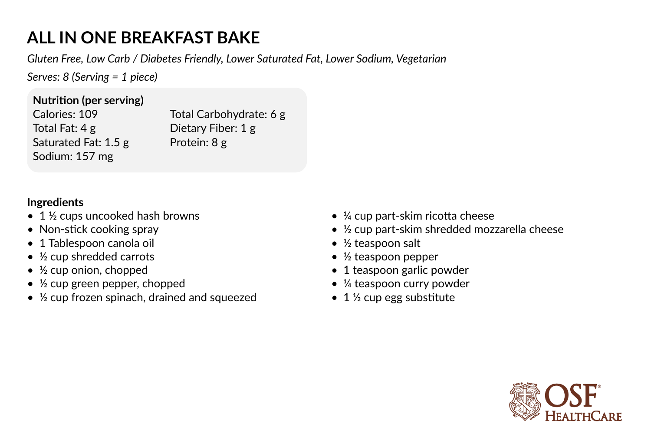## **ALL IN ONE BREAKFAST BAKE**

*Gluten Free, Low Carb / Diabetes Friendly, Lower Saturated Fat, Lower Sodium, Vegetarian*

*Serves: 8 (Serving = 1 piece)* 

## **Nutrition (per serving)**

Calories: 109 Total Fat: 4 g Saturated Fat: 1.5 g Sodium: 157 mg

Total Carbohydrate: 6 g Dietary Fiber: 1 g Protein: 8 g

## **Ingredients**

- 1 <sup>1</sup>/<sub>2</sub> cups uncooked hash browns
- Non-stick cooking spray
- 1 Tablespoon canola oil
- ½ cup shredded carrots
- $\bullet$  ½ cup onion, chopped
- ½ cup green pepper, chopped
- $\frac{1}{2}$  cup frozen spinach, drained and squeezed
- ¼ cup part-skim ricotta cheese
- ½ cup part-skim shredded mozzarella cheese
- ½ teaspoon salt
- ½ teaspoon pepper
- 1 teaspoon garlic powder
- ¼ teaspoon curry powder
- $\bullet$  1 ½ cup egg substitute